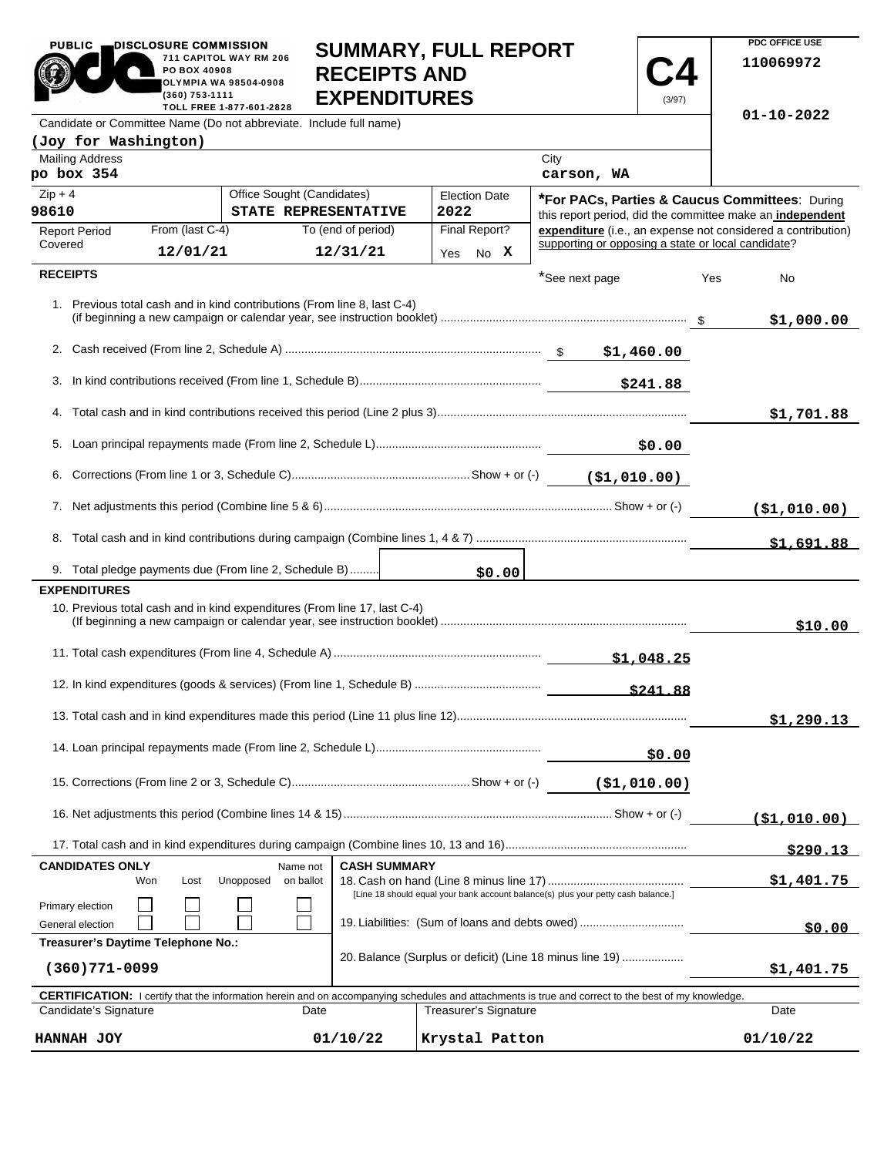| <b>PUBLIC</b>                                                      | DISCLOSURE COMMISSION<br>PO BOX 40908<br>(360) 753-1111 | 711 CAPITOL WAY RM 206<br>OLYMPIA WA 98504-0908 | <b>RECEIPTS AND</b><br><b>EXPENDITURES</b>                                | <b>SUMMARY, FULL REPORT</b>                                                       |                                                    | (3/97)        |     | <b>PDC OFFICE USE</b><br>110069972                                                                                        |
|--------------------------------------------------------------------|---------------------------------------------------------|-------------------------------------------------|---------------------------------------------------------------------------|-----------------------------------------------------------------------------------|----------------------------------------------------|---------------|-----|---------------------------------------------------------------------------------------------------------------------------|
| Candidate or Committee Name (Do not abbreviate. Include full name) |                                                         | TOLL FREE 1-877-601-2828                        |                                                                           |                                                                                   |                                                    |               |     | $01 - 10 - 2022$                                                                                                          |
| (Joy for Washington)                                               |                                                         |                                                 |                                                                           |                                                                                   |                                                    |               |     |                                                                                                                           |
| <b>Mailing Address</b><br>po box 354                               |                                                         |                                                 |                                                                           |                                                                                   | City<br>carson, WA                                 |               |     |                                                                                                                           |
| $Zip + 4$                                                          |                                                         | Office Sought (Candidates)                      |                                                                           | <b>Election Date</b>                                                              |                                                    |               |     | *For PACs, Parties & Caucus Committees: During                                                                            |
| 98610                                                              | From (last C-4)                                         |                                                 | STATE REPRESENTATIVE<br>To (end of period)                                | 2022<br>Final Report?                                                             |                                                    |               |     | this report period, did the committee make an independent<br>expenditure (i.e., an expense not considered a contribution) |
| <b>Report Period</b><br>Covered                                    | 12/01/21                                                |                                                 | 12/31/21                                                                  | Yes No X                                                                          | supporting or opposing a state or local candidate? |               |     |                                                                                                                           |
| <b>RECEIPTS</b>                                                    |                                                         |                                                 |                                                                           |                                                                                   | *See next page                                     |               | Yes | No                                                                                                                        |
|                                                                    |                                                         |                                                 | 1. Previous total cash and in kind contributions (From line 8, last C-4)  |                                                                                   |                                                    |               |     | \$1,000.00                                                                                                                |
|                                                                    |                                                         |                                                 |                                                                           |                                                                                   |                                                    |               |     |                                                                                                                           |
|                                                                    |                                                         |                                                 |                                                                           |                                                                                   |                                                    |               |     |                                                                                                                           |
|                                                                    |                                                         |                                                 |                                                                           |                                                                                   |                                                    | \$241.88      |     |                                                                                                                           |
|                                                                    |                                                         |                                                 |                                                                           |                                                                                   |                                                    |               |     | \$1,701.88                                                                                                                |
|                                                                    |                                                         |                                                 |                                                                           |                                                                                   |                                                    |               |     |                                                                                                                           |
|                                                                    |                                                         |                                                 |                                                                           |                                                                                   |                                                    |               |     |                                                                                                                           |
|                                                                    |                                                         |                                                 |                                                                           |                                                                                   |                                                    |               |     | ( \$1,010.00)                                                                                                             |
|                                                                    |                                                         |                                                 |                                                                           |                                                                                   |                                                    |               |     | \$1,691.88                                                                                                                |
|                                                                    | 9. Total pledge payments due (From line 2, Schedule B)  |                                                 |                                                                           | \$0.00                                                                            |                                                    |               |     |                                                                                                                           |
| <b>EXPENDITURES</b>                                                |                                                         |                                                 |                                                                           |                                                                                   |                                                    |               |     |                                                                                                                           |
|                                                                    |                                                         |                                                 | 10. Previous total cash and in kind expenditures (From line 17, last C-4) |                                                                                   |                                                    |               |     |                                                                                                                           |
|                                                                    |                                                         |                                                 |                                                                           |                                                                                   |                                                    |               |     | \$10.00                                                                                                                   |
|                                                                    |                                                         |                                                 |                                                                           |                                                                                   |                                                    |               |     |                                                                                                                           |
|                                                                    |                                                         |                                                 |                                                                           |                                                                                   |                                                    | \$241.88      |     |                                                                                                                           |
|                                                                    |                                                         |                                                 |                                                                           |                                                                                   |                                                    |               |     | \$1,290.13                                                                                                                |
|                                                                    |                                                         |                                                 |                                                                           |                                                                                   |                                                    | \$0.00        |     |                                                                                                                           |
|                                                                    |                                                         |                                                 |                                                                           |                                                                                   |                                                    | ( \$1,010.00) |     |                                                                                                                           |
|                                                                    |                                                         |                                                 |                                                                           |                                                                                   |                                                    |               |     |                                                                                                                           |
|                                                                    |                                                         |                                                 |                                                                           |                                                                                   |                                                    |               |     | <u>(\$1,010.00)</u>                                                                                                       |
| <b>CANDIDATES ONLY</b>                                             |                                                         | Name not                                        | <b>CASH SUMMARY</b>                                                       |                                                                                   |                                                    |               |     | \$290.13                                                                                                                  |
|                                                                    | Won<br>Lost                                             | Unopposed<br>on ballot                          |                                                                           |                                                                                   |                                                    |               |     | \$1,401.75                                                                                                                |
| Primary election                                                   |                                                         |                                                 |                                                                           | [Line 18 should equal your bank account balance(s) plus your petty cash balance.] |                                                    |               |     |                                                                                                                           |
| General election                                                   |                                                         |                                                 |                                                                           | 19. Liabilities: (Sum of loans and debts owed)                                    |                                                    |               |     | \$0.00                                                                                                                    |

| (360)771-0099         |          | EU. Balance (Barpias or action) (Emic To minias line To)                                                                                                   | \$1,401.75 |
|-----------------------|----------|------------------------------------------------------------------------------------------------------------------------------------------------------------|------------|
|                       |          | <b>CERTIFICATION:</b> I certify that the information herein and on accompanying schedules and attachments is true and correct to the best of my knowledge. |            |
| Candidate's Signature | Date     | Treasurer's Signature                                                                                                                                      | Date       |
| HANNAH JOY            | 01/10/22 | Krystal Patton                                                                                                                                             | 01/10/22   |

20. Balance (Surplus or deficit) (Line 18 minus line 19) ...................

**Treasurer's Daytime Telephone No.:**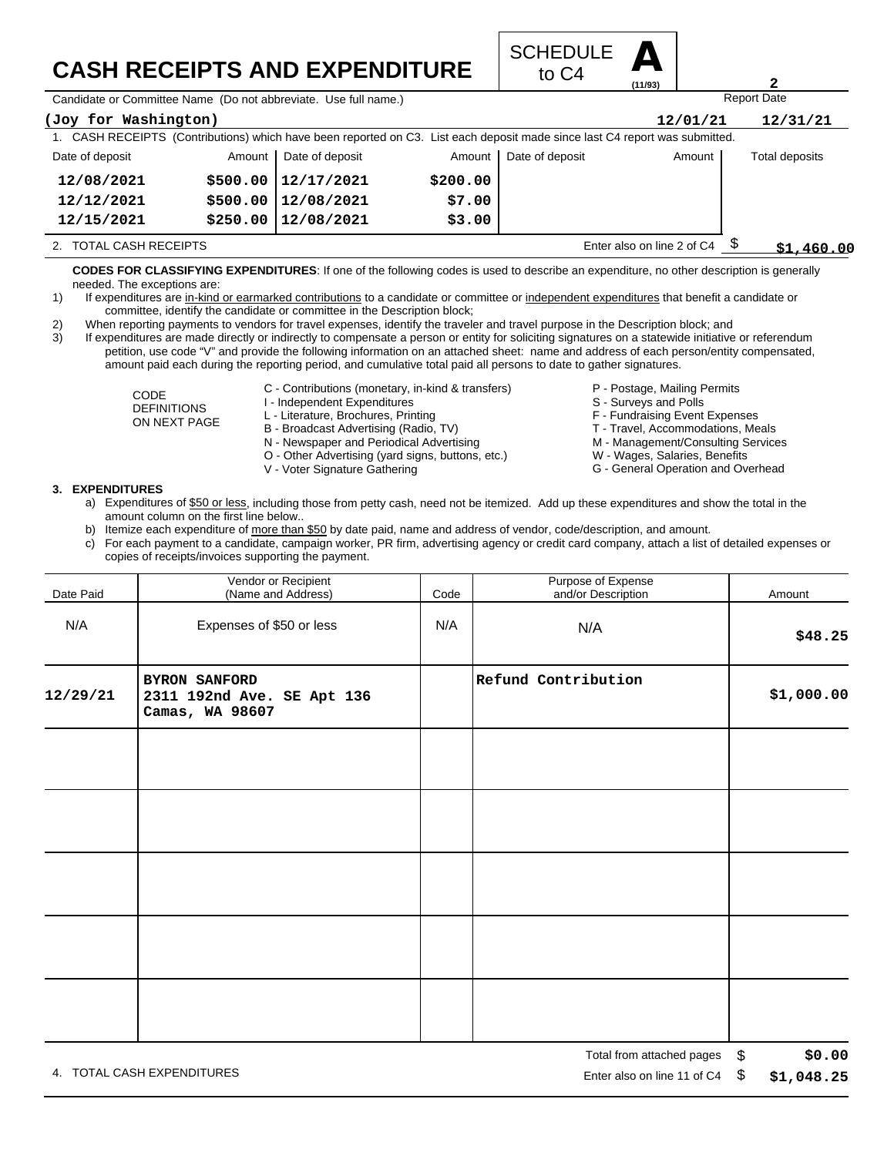## **CASH RECEIPTS AND EXPENDITURE**



Candidate or Committee Name (Do not abbreviate. Use full name.)

| (Joy for Washington)                                 |          |                                                                                                                             |          |                 | 12/01/21   | 12/31/21       |
|------------------------------------------------------|----------|-----------------------------------------------------------------------------------------------------------------------------|----------|-----------------|------------|----------------|
|                                                      |          | 1. CASH RECEIPTS (Contributions) which have been reported on C3. List each deposit made since last C4 report was submitted. |          |                 |            |                |
| Date of deposit                                      | Amount   | Date of deposit                                                                                                             | Amount I | Date of deposit | Amount     | Total deposits |
| 12/08/2021                                           |          | $$500.00$   12/17/2021                                                                                                      | \$200.00 |                 |            |                |
| 12/12/2021                                           | \$500.00 | 12/08/2021                                                                                                                  | \$7.00   |                 |            |                |
| 12/15/2021                                           | \$250.00 | 12/08/2021                                                                                                                  | \$3.00   |                 |            |                |
| Enter also on line 2 of C4<br>2. TOTAL CASH RECEIPTS |          |                                                                                                                             |          |                 | \$1,460.00 |                |

**CODES FOR CLASSIFYING EXPENDITURES**: If one of the following codes is used to describe an expenditure, no other description is generally needed. The exceptions are:

- 1) If expenditures are in-kind or earmarked contributions to a candidate or committee or independent expenditures that benefit a candidate or committee, identify the candidate or committee in the Description block;
- 2) When reporting payments to vendors for travel expenses, identify the traveler and travel purpose in the Description block; and

3) If expenditures are made directly or indirectly to compensate a person or entity for soliciting signatures on a statewide initiative or referendum petition, use code "V" and provide the following information on an attached sheet: name and address of each person/entity compensated, amount paid each during the reporting period, and cumulative total paid all persons to date to gather signatures.

> CODE DEFINITIONS ON NEXT PAGE

- C Contributions (monetary, in-kind & transfers)
- I Independent Expenditures
- L Literature, Brochures, Printing
- B Broadcast Advertising (Radio, TV)
- N Newspaper and Periodical Advertising
- O Other Advertising (yard signs, buttons, etc.)
- V Voter Signature Gathering
- P Postage, Mailing Permits
- S Surveys and Polls
- 
- F Fundraising Event Expenses
- T Travel, Accommodations, Meals
- M Management/Consulting Services
- W Wages, Salaries, Benefits G - General Operation and Overhead

- **3. EXPENDITURES**
	- a) Expenditures of \$50 or less, including those from petty cash, need not be itemized. Add up these expenditures and show the total in the amount column on the first line below..
	- b) Itemize each expenditure of more than \$50 by date paid, name and address of vendor, code/description, and amount.
	- c) For each payment to a candidate, campaign worker, PR firm, advertising agency or credit card company, attach a list of detailed expenses or copies of receipts/invoices supporting the payment.

| Date Paid | Vendor or Recipient<br>(Name and Address)                             | Code | Purpose of Expense<br>and/or Description | Amount     |
|-----------|-----------------------------------------------------------------------|------|------------------------------------------|------------|
| N/A       | Expenses of \$50 or less                                              | N/A  | N/A                                      | \$48.25    |
| 12/29/21  | <b>BYRON SANFORD</b><br>2311 192nd Ave. SE Apt 136<br>Camas, WA 98607 |      | Refund Contribution                      | \$1,000.00 |
|           |                                                                       |      |                                          |            |
|           |                                                                       |      |                                          |            |
|           |                                                                       |      |                                          |            |
|           |                                                                       |      |                                          |            |
|           |                                                                       |      |                                          |            |

**2**

Report Date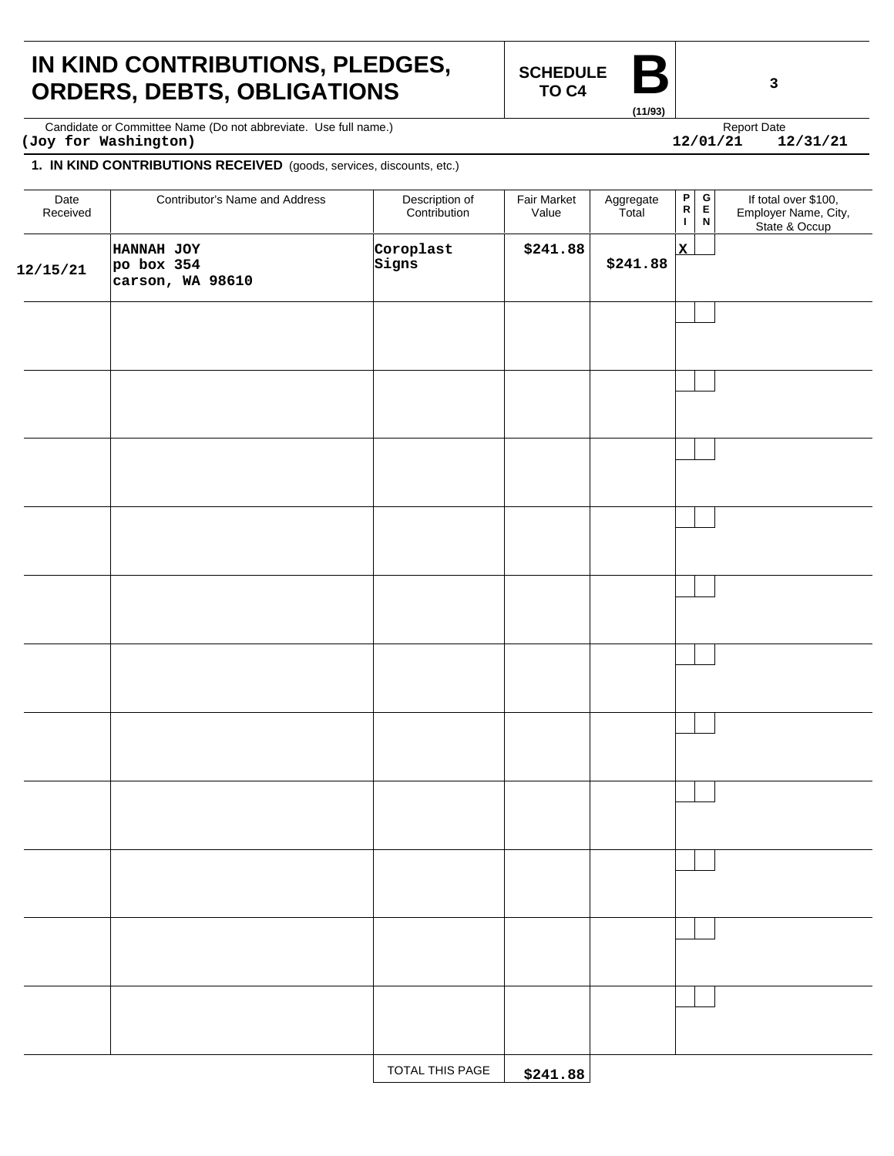### **IN KIND CONTRIBUTIONS, PLEDGES, ORDERS, DEBTS, OBLIGATIONS**

**SCHEDULE TO C4** 

**(11/93)**

 $12/01/21$ 

Candidate or Committee Name (Do not abbreviate. Use full name.) Candidate express and the expect Date Report Date **(Joy for Washington) 12/01/21 12/31/21**

#### **1. IN KIND CONTRIBUTIONS RECEIVED** (goods, services, discounts, etc.)

| Date<br>Received | Contributor's Name and Address               | Description of<br>Contribution | Fair Market<br>Value | Aggregate<br>Total | $\mathsf P$<br>${\sf R}$<br>L | $\begin{bmatrix} G \\ F \end{bmatrix}$<br>$\,$ N | If total over \$100,<br>Employer Name, City,<br>State & Occup |
|------------------|----------------------------------------------|--------------------------------|----------------------|--------------------|-------------------------------|--------------------------------------------------|---------------------------------------------------------------|
| 12/15/21         | HANNAH JOY<br>po box 354<br>carson, WA 98610 | Coroplast<br>Signs             | \$241.88             | \$241.88           | $\mathbf{x}$                  |                                                  |                                                               |
|                  |                                              |                                |                      |                    |                               |                                                  |                                                               |
|                  |                                              |                                |                      |                    |                               |                                                  |                                                               |
|                  |                                              |                                |                      |                    |                               |                                                  |                                                               |
|                  |                                              |                                |                      |                    |                               |                                                  |                                                               |
|                  |                                              |                                |                      |                    |                               |                                                  |                                                               |
|                  |                                              |                                |                      |                    |                               |                                                  |                                                               |
|                  |                                              |                                |                      |                    |                               |                                                  |                                                               |
|                  |                                              |                                |                      |                    |                               |                                                  |                                                               |
|                  |                                              |                                |                      |                    |                               |                                                  |                                                               |
|                  |                                              |                                |                      |                    |                               |                                                  |                                                               |
|                  |                                              |                                |                      |                    |                               |                                                  |                                                               |
|                  |                                              | TOTAL THIS PAGE                | \$241.88             |                    |                               |                                                  |                                                               |

**3**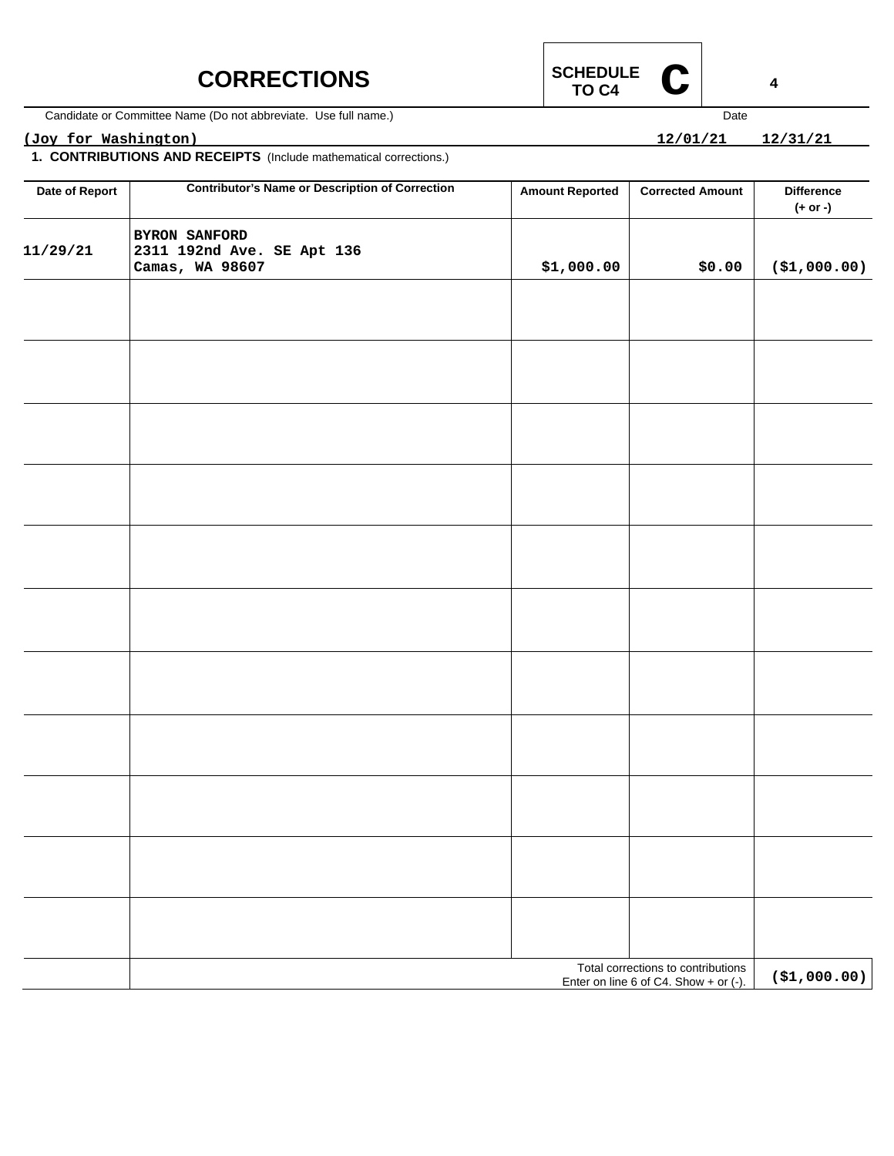### **CORRECTIONS**

Candidate or Committee Name (Do not abbreviate. Use full name.)

### **(Joy for Washington) 12/01/21 12/31/21**

**1. CONTRIBUTIONS AND RECEIPTS** (Include mathematical corrections.)

| Date of Report | <b>Contributor's Name or Description of Correction</b>         | <b>Amount Reported</b> | <b>Corrected Amount</b>                                                     | <b>Difference</b><br>$(+ or -)$ |
|----------------|----------------------------------------------------------------|------------------------|-----------------------------------------------------------------------------|---------------------------------|
| 11/29/21       | BYRON SANFORD<br>2311 192nd Ave. SE Apt 136<br>Camas, WA 98607 | \$1,000.00             | \$0.00                                                                      | ( \$1,000.00)                   |
|                |                                                                |                        |                                                                             |                                 |
|                |                                                                |                        |                                                                             |                                 |
|                |                                                                |                        |                                                                             |                                 |
|                |                                                                |                        |                                                                             |                                 |
|                |                                                                |                        |                                                                             |                                 |
|                |                                                                |                        |                                                                             |                                 |
|                |                                                                |                        |                                                                             |                                 |
|                |                                                                |                        |                                                                             |                                 |
|                |                                                                |                        |                                                                             |                                 |
|                |                                                                |                        |                                                                             |                                 |
|                |                                                                |                        |                                                                             |                                 |
|                |                                                                |                        | Total corrections to contributions<br>Enter on line 6 of C4. Show + or (-). | ( \$1,000.00)                   |



 $12/01/21$ 

Date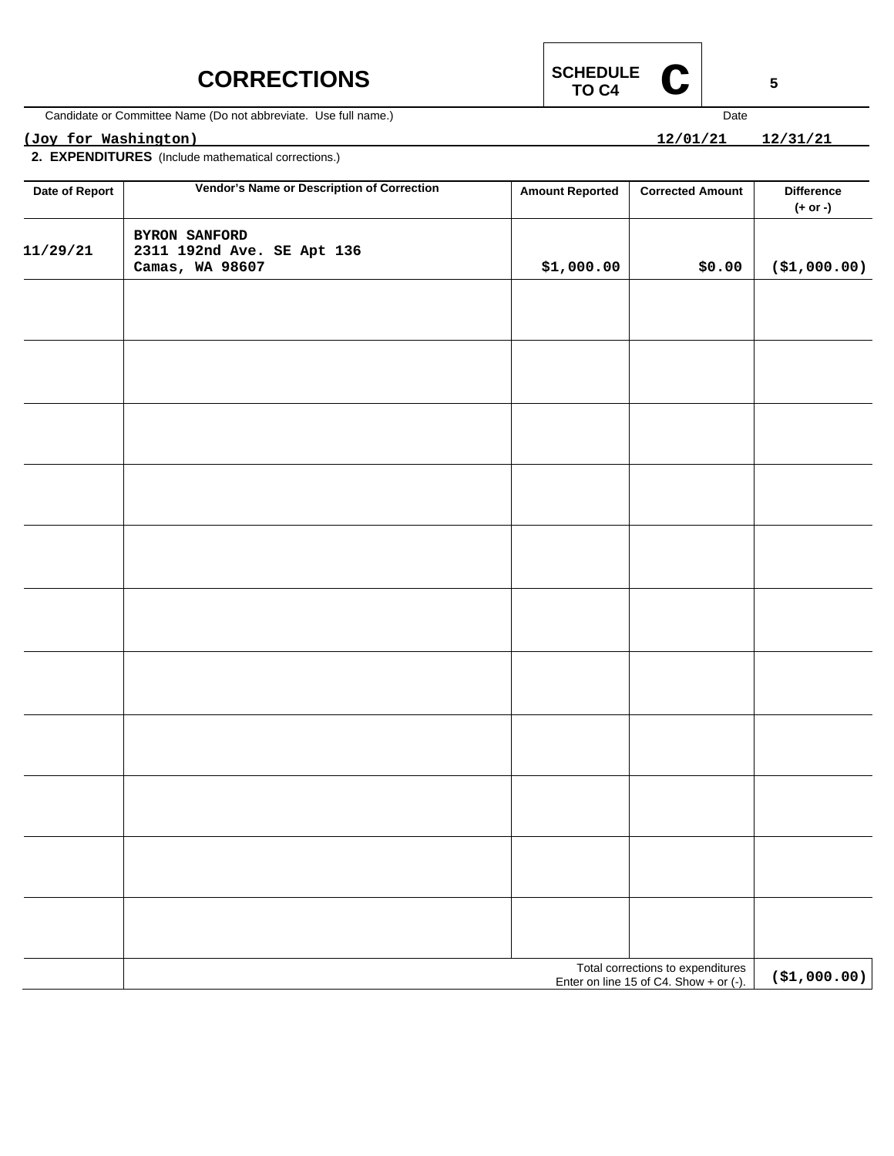# **CORRECTIONS**



Candidate or Committee Name (Do not abbreviate. Use full name.)

### **(Joy for Washington) 12/01/21 12/31/21**

**2. EXPENDITURES** (Include mathematical corrections.)

| Date of Report | Vendor's Name or Description of Correction                     | <b>Amount Reported</b>                                                                       | <b>Corrected Amount</b> | <b>Difference</b><br>(+ or -) |  |  |
|----------------|----------------------------------------------------------------|----------------------------------------------------------------------------------------------|-------------------------|-------------------------------|--|--|
| 11/29/21       | BYRON SANFORD<br>2311 192nd Ave. SE Apt 136<br>Camas, WA 98607 | \$1,000.00                                                                                   | \$0.00                  | ( \$1,000.00)                 |  |  |
|                |                                                                |                                                                                              |                         |                               |  |  |
|                |                                                                |                                                                                              |                         |                               |  |  |
|                |                                                                |                                                                                              |                         |                               |  |  |
|                |                                                                |                                                                                              |                         |                               |  |  |
|                |                                                                |                                                                                              |                         |                               |  |  |
|                |                                                                |                                                                                              |                         |                               |  |  |
|                |                                                                |                                                                                              |                         |                               |  |  |
|                |                                                                |                                                                                              |                         |                               |  |  |
|                |                                                                |                                                                                              |                         |                               |  |  |
|                |                                                                |                                                                                              |                         |                               |  |  |
|                |                                                                |                                                                                              |                         |                               |  |  |
|                |                                                                | Total corrections to expenditures<br>Enter on line 15 of C4. Show + or (-).<br>( \$1,000.00) |                         |                               |  |  |



12/01/21 12/31/21

Date